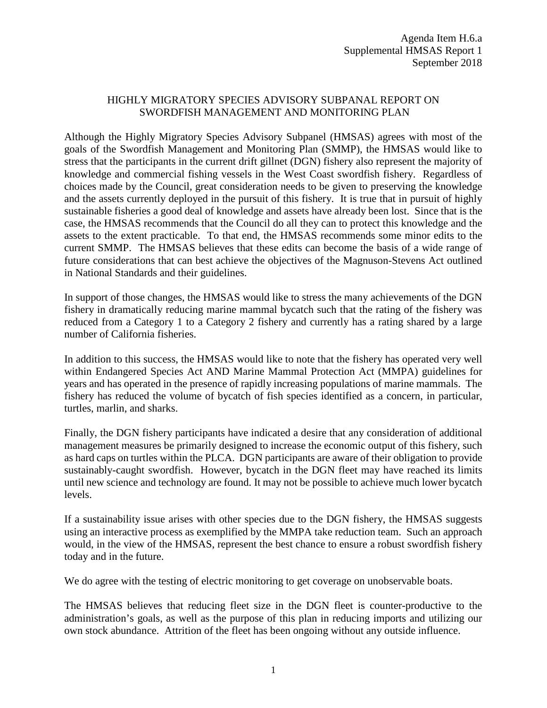### HIGHLY MIGRATORY SPECIES ADVISORY SUBPANAL REPORT ON SWORDFISH MANAGEMENT AND MONITORING PLAN

Although the Highly Migratory Species Advisory Subpanel (HMSAS) agrees with most of the goals of the Swordfish Management and Monitoring Plan (SMMP), the HMSAS would like to stress that the participants in the current drift gillnet (DGN) fishery also represent the majority of knowledge and commercial fishing vessels in the West Coast swordfish fishery. Regardless of choices made by the Council, great consideration needs to be given to preserving the knowledge and the assets currently deployed in the pursuit of this fishery. It is true that in pursuit of highly sustainable fisheries a good deal of knowledge and assets have already been lost. Since that is the case, the HMSAS recommends that the Council do all they can to protect this knowledge and the assets to the extent practicable. To that end, the HMSAS recommends some minor edits to the current SMMP. The HMSAS believes that these edits can become the basis of a wide range of future considerations that can best achieve the objectives of the Magnuson-Stevens Act outlined in National Standards and their guidelines.

In support of those changes, the HMSAS would like to stress the many achievements of the DGN fishery in dramatically reducing marine mammal bycatch such that the rating of the fishery was reduced from a Category 1 to a Category 2 fishery and currently has a rating shared by a large number of California fisheries.

In addition to this success, the HMSAS would like to note that the fishery has operated very well within Endangered Species Act AND Marine Mammal Protection Act (MMPA) guidelines for years and has operated in the presence of rapidly increasing populations of marine mammals. The fishery has reduced the volume of bycatch of fish species identified as a concern, in particular, turtles, marlin, and sharks.

Finally, the DGN fishery participants have indicated a desire that any consideration of additional management measures be primarily designed to increase the economic output of this fishery, such as hard caps on turtles within the PLCA. DGN participants are aware of their obligation to provide sustainably-caught swordfish. However, bycatch in the DGN fleet may have reached its limits until new science and technology are found. It may not be possible to achieve much lower bycatch levels.

If a sustainability issue arises with other species due to the DGN fishery, the HMSAS suggests using an interactive process as exemplified by the MMPA take reduction team. Such an approach would, in the view of the HMSAS, represent the best chance to ensure a robust swordfish fishery today and in the future.

We do agree with the testing of electric monitoring to get coverage on unobservable boats.

The HMSAS believes that reducing fleet size in the DGN fleet is counter-productive to the administration's goals, as well as the purpose of this plan in reducing imports and utilizing our own stock abundance. Attrition of the fleet has been ongoing without any outside influence.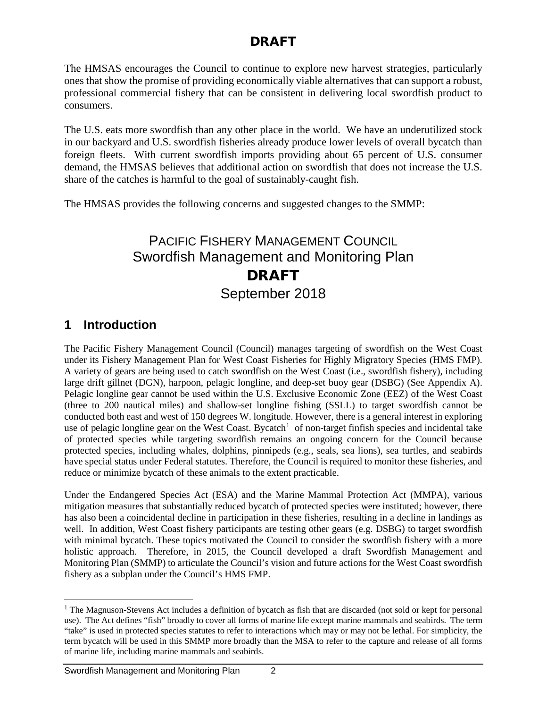The HMSAS encourages the Council to continue to explore new harvest strategies, particularly ones that show the promise of providing economically viable alternatives that can support a robust, professional commercial fishery that can be consistent in delivering local swordfish product to consumers.

The U.S. eats more swordfish than any other place in the world. We have an underutilized stock in our backyard and U.S. swordfish fisheries already produce lower levels of overall bycatch than foreign fleets. With current swordfish imports providing about 65 percent of U.S. consumer demand, the HMSAS believes that additional action on swordfish that does not increase the U.S. share of the catches is harmful to the goal of sustainably-caught fish.

The HMSAS provides the following concerns and suggested changes to the SMMP:

# PACIFIC FISHERY MANAGEMENT COUNCIL Swordfish Management and Monitoring Plan DRAFT September 2018

## **1 Introduction**

The Pacific Fishery Management Council (Council) manages targeting of swordfish on the West Coast under its Fishery Management Plan for West Coast Fisheries for Highly Migratory Species (HMS FMP). A variety of gears are being used to catch swordfish on the West Coast (i.e., swordfish fishery), including large drift gillnet (DGN), harpoon, pelagic longline, and deep-set buoy gear (DSBG) (See Appendix A). Pelagic longline gear cannot be used within the U.S. Exclusive Economic Zone (EEZ) of the West Coast (three to 200 nautical miles) and shallow-set longline fishing (SSLL) to target swordfish cannot be conducted both east and west of 150 degrees W. longitude. However, there is a general interest in exploring use of pelagic longline gear on the West Coast. Bycatch<sup>[1](#page-1-0)</sup> of non-target finfish species and incidental take of protected species while targeting swordfish remains an ongoing concern for the Council because protected species, including whales, dolphins, pinnipeds (e.g., seals, sea lions), sea turtles, and seabirds have special status under Federal statutes. Therefore, the Council is required to monitor these fisheries, and reduce or minimize bycatch of these animals to the extent practicable.

Under the Endangered Species Act (ESA) and the Marine Mammal Protection Act (MMPA), various mitigation measures that substantially reduced bycatch of protected species were instituted; however, there has also been a coincidental decline in participation in these fisheries, resulting in a decline in landings as well. In addition, West Coast fishery participants are testing other gears (e.g. DSBG) to target swordfish with minimal bycatch. These topics motivated the Council to consider the swordfish fishery with a more holistic approach. Therefore, in 2015, the Council developed a draft Swordfish Management and Monitoring Plan (SMMP) to articulate the Council's vision and future actions for the West Coast swordfish fishery as a subplan under the Council's HMS FMP.

<span id="page-1-0"></span><sup>&</sup>lt;sup>1</sup> The Magnuson-Stevens Act includes a definition of bycatch as fish that are discarded (not sold or kept for personal use). The Act defines "fish" broadly to cover all forms of marine life except marine mammals and seabirds. The term "take" is used in protected species statutes to refer to interactions which may or may not be lethal. For simplicity, the term bycatch will be used in this SMMP more broadly than the MSA to refer to the capture and release of all forms of marine life, including marine mammals and seabirds.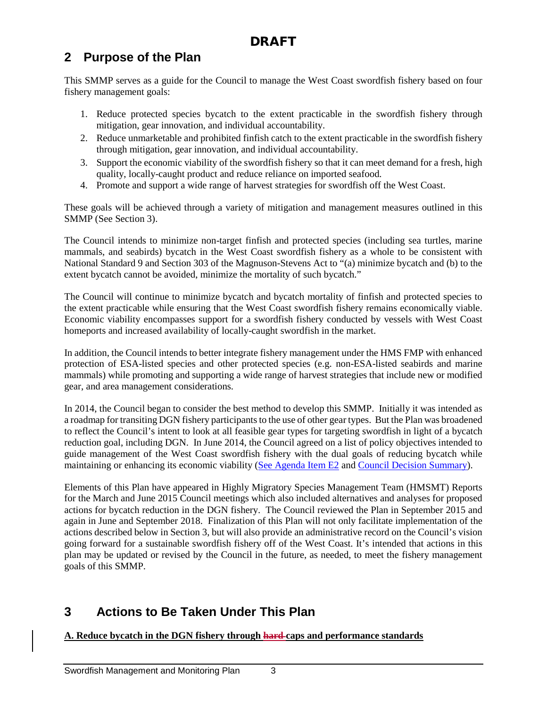## **2 Purpose of the Plan**

This SMMP serves as a guide for the Council to manage the West Coast swordfish fishery based on four fishery management goals:

- 1. Reduce protected species bycatch to the extent practicable in the swordfish fishery through mitigation, gear innovation, and individual accountability.
- 2. Reduce unmarketable and prohibited finfish catch to the extent practicable in the swordfish fishery through mitigation, gear innovation, and individual accountability.
- 3. Support the economic viability of the swordfish fishery so that it can meet demand for a fresh, high quality, locally-caught product and reduce reliance on imported seafood.
- 4. Promote and support a wide range of harvest strategies for swordfish off the West Coast.

These goals will be achieved through a variety of mitigation and management measures outlined in this SMMP (See Section 3).

The Council intends to minimize non-target finfish and protected species (including sea turtles, marine mammals, and seabirds) bycatch in the West Coast swordfish fishery as a whole to be consistent with National Standard 9 and Section 303 of the Magnuson-Stevens Act to "(a) minimize bycatch and (b) to the extent bycatch cannot be avoided, minimize the mortality of such bycatch."

The Council will continue to minimize bycatch and bycatch mortality of finfish and protected species to the extent practicable while ensuring that the West Coast swordfish fishery remains economically viable. Economic viability encompasses support for a swordfish fishery conducted by vessels with West Coast homeports and increased availability of locally-caught swordfish in the market.

In addition, the Council intends to better integrate fishery management under the HMS FMP with enhanced protection of ESA-listed species and other protected species (e.g. non-ESA-listed seabirds and marine mammals) while promoting and supporting a wide range of harvest strategies that include new or modified gear, and area management considerations.

In 2014, the Council began to consider the best method to develop this SMMP. Initially it was intended as a roadmap for transiting DGN fishery participants to the use of other gear types. But the Plan was broadened to reflect the Council's intent to look at all feasible gear types for targeting swordfish in light of a bycatch reduction goal, including DGN. In June 2014, the Council agreed on a list of policy objectives intended to guide management of the West Coast swordfish fishery with the dual goals of reducing bycatch while maintaining or enhancing its economic viability [\(See Agenda Item E2](http://www.pcouncil.org/wp-content/uploads/E2_SitSum_DGNtransition_JUNE2014BB.pdf) and [Council Decision Summary\)](http://www.pcouncil.org/wp-content/uploads/0614decisions.pdf).

Elements of this Plan have appeared in Highly Migratory Species Management Team (HMSMT) Reports for the March and June 2015 Council meetings which also included alternatives and analyses for proposed actions for bycatch reduction in the DGN fishery. The Council reviewed the Plan in September 2015 and again in June and September 2018. Finalization of this Plan will not only facilitate implementation of the actions described below in Section 3, but will also provide an administrative record on the Council's vision going forward for a sustainable swordfish fishery off of the West Coast. It's intended that actions in this plan may be updated or revised by the Council in the future, as needed, to meet the fishery management goals of this SMMP.

## **3 Actions to Be Taken Under This Plan**

**A. Reduce bycatch in the DGN fishery through hard caps and performance standards**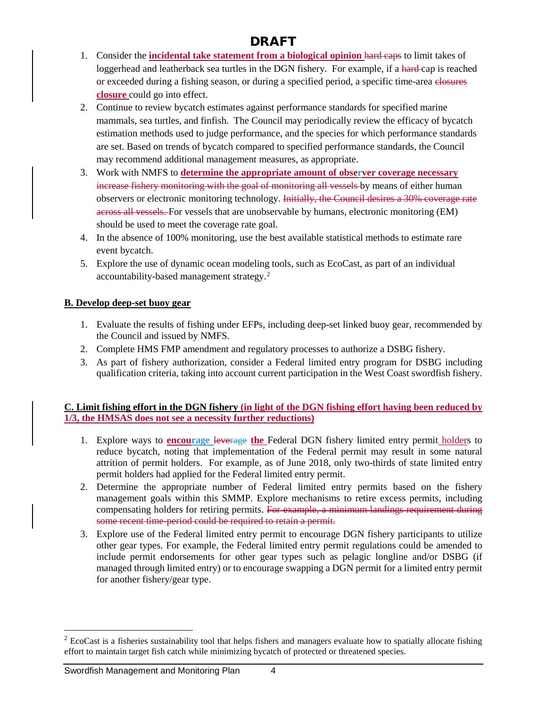- 1. Consider the **incidental take statement from a biological opinion** hard caps to limit takes of loggerhead and leatherback sea turtles in the DGN fishery. For example, if a hard-cap is reached or exceeded during a fishing season, or during a specified period, a specific time-area elosures **closure** could go into effect.
- 2. Continue to review bycatch estimates against performance standards for specified marine mammals, sea turtles, and finfish. The Council may periodically review the efficacy of bycatch estimation methods used to judge performance, and the species for which performance standards are set. Based on trends of bycatch compared to specified performance standards, the Council may recommend additional management measures, as appropriate.
- 3. Work with NMFS to **determine the appropriate amount of observer coverage necessary** increase fishery monitoring with the goal of monitoring all vessels by means of either human observers or electronic monitoring technology. Initially, the Council desires a 30% coverage rate across all vessels. For vessels that are unobservable by humans, electronic monitoring (EM) should be used to meet the coverage rate goal.
- 4. In the absence of 100% monitoring, use the best available statistical methods to estimate rare event bycatch.
- 5. Explore the use of dynamic ocean modeling tools, such as EcoCast, as part of an individual accountability-based management strategy.<sup>[2](#page-3-0)</sup>

### **B. Develop deep-set buoy gear**

- 1. Evaluate the results of fishing under EFPs, including deep-set linked buoy gear, recommended by the Council and issued by NMFS.
- 2. Complete HMS FMP amendment and regulatory processes to authorize a DSBG fishery.
- 3. As part of fishery authorization, consider a Federal limited entry program for DSBG including qualification criteria, taking into account current participation in the West Coast swordfish fishery.

### **C. Limit fishing effort in the DGN fishery (in light of the DGN fishing effort having been reduced by 1/3, the HMSAS does not see a necessity further reductions)**

- 1. Explore ways to **encourage** leverage **the** Federal DGN fishery limited entry permit holders to reduce bycatch, noting that implementation of the Federal permit may result in some natural attrition of permit holders. For example, as of June 2018, only two-thirds of state limited entry permit holders had applied for the Federal limited entry permit.
- 2. Determine the appropriate number of Federal limited entry permits based on the fishery management goals within this SMMP. Explore mechanisms to retire excess permits, including compensating holders for retiring permits. For example, a minimum landings requirement during some recent time-period could be required to retain a permit.
- 3. Explore use of the Federal limited entry permit to encourage DGN fishery participants to utilize other gear types. For example, the Federal limited entry permit regulations could be amended to include permit endorsements for other gear types such as pelagic longline and/or DSBG (if managed through limited entry) or to encourage swapping a DGN permit for a limited entry permit for another fishery/gear type.

<span id="page-3-0"></span> $2$  EcoCast is a fisheries sustainability tool that helps fishers and managers evaluate how to spatially allocate fishing effort to maintain target fish catch while minimizing bycatch of protected or threatened species.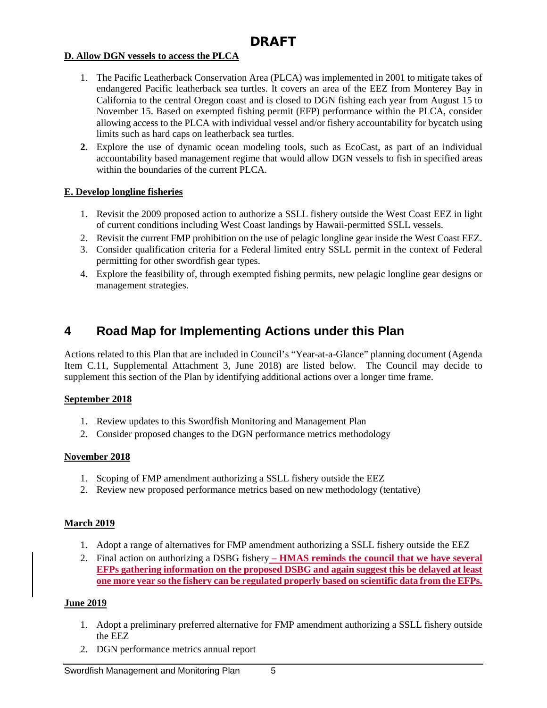#### **D. Allow DGN vessels to access the PLCA**

- 1. The Pacific Leatherback Conservation Area (PLCA) was implemented in 2001 to mitigate takes of endangered Pacific leatherback sea turtles. It covers an area of the EEZ from Monterey Bay in California to the central Oregon coast and is closed to DGN fishing each year from August 15 to November 15. Based on exempted fishing permit (EFP) performance within the PLCA, consider allowing access to the PLCA with individual vessel and/or fishery accountability for bycatch using limits such as hard caps on leatherback sea turtles.
- **2.** Explore the use of dynamic ocean modeling tools, such as EcoCast, as part of an individual accountability based management regime that would allow DGN vessels to fish in specified areas within the boundaries of the current PLCA.

#### **E. Develop longline fisheries**

- 1. Revisit the 2009 proposed action to authorize a SSLL fishery outside the West Coast EEZ in light of current conditions including West Coast landings by Hawaii-permitted SSLL vessels.
- 2. Revisit the current FMP prohibition on the use of pelagic longline gear inside the West Coast EEZ.
- 3. Consider qualification criteria for a Federal limited entry SSLL permit in the context of Federal permitting for other swordfish gear types.
- 4. Explore the feasibility of, through exempted fishing permits, new pelagic longline gear designs or management strategies.

## **4 Road Map for Implementing Actions under this Plan**

Actions related to this Plan that are included in Council's "Year-at-a-Glance" planning document (Agenda Item C.11, Supplemental Attachment 3, June 2018) are listed below. The Council may decide to supplement this section of the Plan by identifying additional actions over a longer time frame.

#### **September 2018**

- 1. Review updates to this Swordfish Monitoring and Management Plan
- 2. Consider proposed changes to the DGN performance metrics methodology

#### **November 2018**

- 1. Scoping of FMP amendment authorizing a SSLL fishery outside the EEZ
- 2. Review new proposed performance metrics based on new methodology (tentative)

#### **March 2019**

- 1. Adopt a range of alternatives for FMP amendment authorizing a SSLL fishery outside the EEZ
- 2. Final action on authorizing a DSBG fishery **– HMAS reminds the council that we have several EFPs gathering information on the proposed DSBG and again suggest this be delayed at least one more year so the fishery can be regulated properly based on scientific data from the EFPs.**

#### **June 2019**

- 1. Adopt a preliminary preferred alternative for FMP amendment authorizing a SSLL fishery outside the EEZ
- 2. DGN performance metrics annual report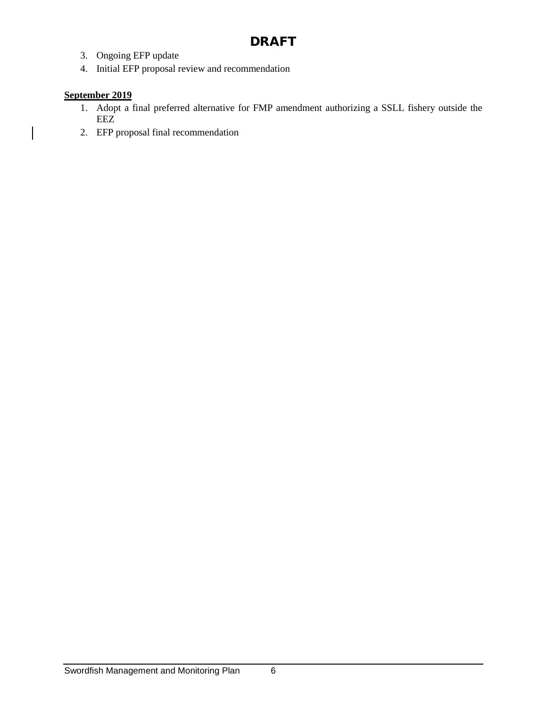- 3. Ongoing EFP update
- 4. Initial EFP proposal review and recommendation

### **September 2019**

- 1. Adopt a final preferred alternative for FMP amendment authorizing a SSLL fishery outside the EEZ
- 2. EFP proposal final recommendation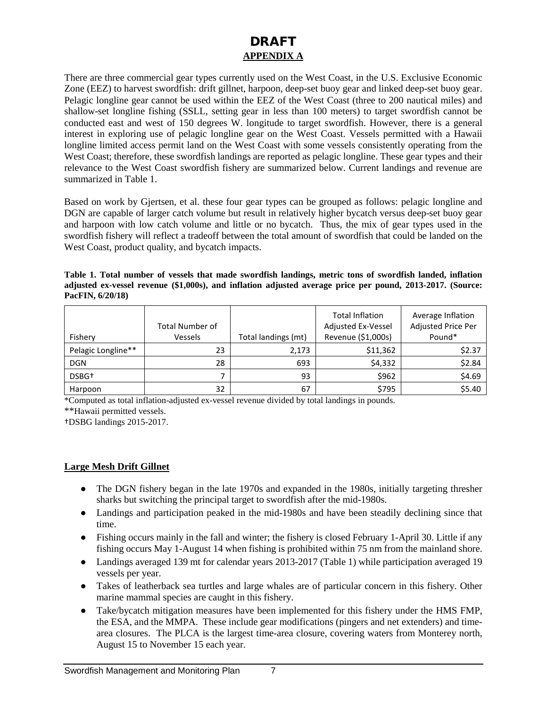### DRAFT **APPENDIX A**

There are three commercial gear types currently used on the West Coast, in the U.S. Exclusive Economic Zone (EEZ) to harvest swordfish: drift gillnet, harpoon, deep-set buoy gear and linked deep-set buoy gear. Pelagic longline gear cannot be used within the EEZ of the West Coast (three to 200 nautical miles) and shallow-set longline fishing (SSLL, setting gear in less than 100 meters) to target swordfish cannot be conducted east and west of 150 degrees W. longitude to target swordfish. However, there is a general interest in exploring use of pelagic longline gear on the West Coast. Vessels permitted with a Hawaii longline limited access permit land on the West Coast with some vessels consistently operating from the West Coast; therefore, these swordfish landings are reported as pelagic longline. These gear types and their relevance to the West Coast swordfish fishery are summarized below. Current landings and revenue are summarized in Table 1.

Based on work by Gjertsen, et al. these four gear types can be grouped as follows: pelagic longline and DGN are capable of larger catch volume but result in relatively higher bycatch versus deep-set buoy gear and harpoon with low catch volume and little or no bycatch. Thus, the mix of gear types used in the swordfish fishery will reflect a tradeoff between the total amount of swordfish that could be landed on the West Coast, product quality, and bycatch impacts.

**Table 1. Total number of vessels that made swordfish landings, metric tons of swordfish landed, inflation adjusted ex-vessel revenue (\$1,000s), and inflation adjusted average price per pound, 2013-2017. (Source: PacFIN, 6/20/18)**

|                    | <b>Total Number of</b> |                     | <b>Total Inflation</b><br>Adjusted Ex-Vessel | Average Inflation<br>Adjusted Price Per |
|--------------------|------------------------|---------------------|----------------------------------------------|-----------------------------------------|
| Fishery            | Vessels                | Total landings (mt) | Revenue (\$1,000s)                           | Pound*                                  |
| Pelagic Longline** | 23                     | 2,173               | \$11,362                                     | \$2.37                                  |
| <b>DGN</b>         | 28                     | 693                 | \$4,332                                      | \$2.84                                  |
| DSBG <sup>+</sup>  |                        | 93                  | \$962                                        | \$4.69                                  |
| Harpoon            | 32                     | 67                  | \$795                                        | \$5.40                                  |

\*Computed as total inflation-adjusted ex-vessel revenue divided by total landings in pounds.

\*\*Hawaii permitted vessels.

†DSBG landings 2015-2017.

#### **Large Mesh Drift Gillnet**

- The DGN fishery began in the late 1970s and expanded in the 1980s, initially targeting thresher sharks but switching the principal target to swordfish after the mid-1980s.
- Landings and participation peaked in the mid-1980s and have been steadily declining since that time.
- Fishing occurs mainly in the fall and winter; the fishery is closed February 1-April 30. Little if any fishing occurs May 1-August 14 when fishing is prohibited within 75 nm from the mainland shore.
- Landings averaged 139 mt for calendar years 2013-2017 (Table 1) while participation averaged 19 vessels per year.
- Takes of leatherback sea turtles and large whales are of particular concern in this fishery. Other marine mammal species are caught in this fishery.
- Take/bycatch mitigation measures have been implemented for this fishery under the HMS FMP, the ESA, and the MMPA. These include gear modifications (pingers and net extenders) and timearea closures. The PLCA is the largest time-area closure, covering waters from Monterey north, August 15 to November 15 each year.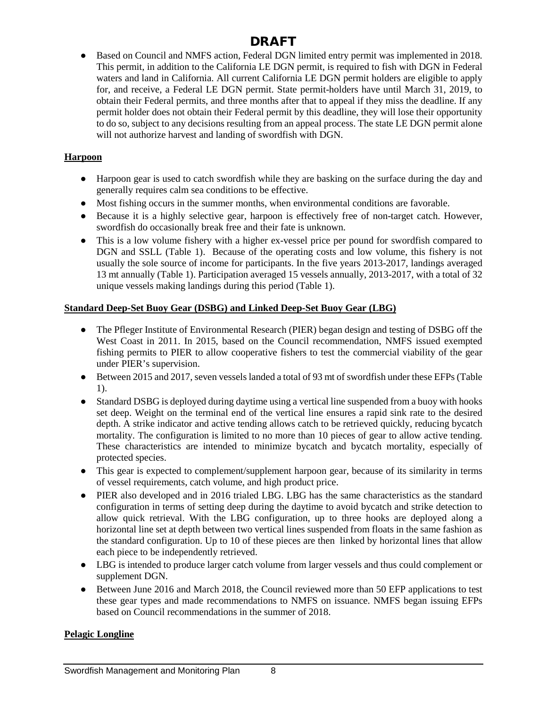● Based on Council and NMFS action, Federal DGN limited entry permit was implemented in 2018. This permit, in addition to the California LE DGN permit, is required to fish with DGN in Federal waters and land in California. All current California LE DGN permit holders are eligible to apply for, and receive, a Federal LE DGN permit. State permit-holders have until March 31, 2019, to obtain their Federal permits, and three months after that to appeal if they miss the deadline. If any permit holder does not obtain their Federal permit by this deadline, they will lose their opportunity to do so, subject to any decisions resulting from an appeal process. The state LE DGN permit alone will not authorize harvest and landing of swordfish with DGN.

### **Harpoon**

- Harpoon gear is used to catch swordfish while they are basking on the surface during the day and generally requires calm sea conditions to be effective.
- Most fishing occurs in the summer months, when environmental conditions are favorable.
- Because it is a highly selective gear, harpoon is effectively free of non-target catch. However, swordfish do occasionally break free and their fate is unknown.
- This is a low volume fishery with a higher ex-vessel price per pound for swordfish compared to DGN and SSLL (Table 1). Because of the operating costs and low volume, this fishery is not usually the sole source of income for participants. In the five years 2013-2017, landings averaged 13 mt annually (Table 1). Participation averaged 15 vessels annually, 2013-2017, with a total of 32 unique vessels making landings during this period (Table 1).

### **Standard Deep-Set Buoy Gear (DSBG) and Linked Deep-Set Buoy Gear (LBG)**

- The Pfleger Institute of Environmental Research (PIER) began design and testing of DSBG off the West Coast in 2011. In 2015, based on the Council recommendation, NMFS issued exempted fishing permits to PIER to allow cooperative fishers to test the commercial viability of the gear under PIER's supervision.
- Between 2015 and 2017, seven vessels landed a total of 93 mt of swordfish under these EFPs (Table 1).
- Standard DSBG is deployed during daytime using a vertical line suspended from a buoy with hooks set deep. Weight on the terminal end of the vertical line ensures a rapid sink rate to the desired depth. A strike indicator and active tending allows catch to be retrieved quickly, reducing bycatch mortality. The configuration is limited to no more than 10 pieces of gear to allow active tending. These characteristics are intended to minimize bycatch and bycatch mortality, especially of protected species.
- This gear is expected to complement/supplement harpoon gear, because of its similarity in terms of vessel requirements, catch volume, and high product price.
- PIER also developed and in 2016 trialed LBG. LBG has the same characteristics as the standard configuration in terms of setting deep during the daytime to avoid bycatch and strike detection to allow quick retrieval. With the LBG configuration, up to three hooks are deployed along a horizontal line set at depth between two vertical lines suspended from floats in the same fashion as the standard configuration. Up to 10 of these pieces are then linked by horizontal lines that allow each piece to be independently retrieved.
- LBG is intended to produce larger catch volume from larger vessels and thus could complement or supplement DGN.
- Between June 2016 and March 2018, the Council reviewed more than 50 EFP applications to test these gear types and made recommendations to NMFS on issuance. NMFS began issuing EFPs based on Council recommendations in the summer of 2018.

### **Pelagic Longline**